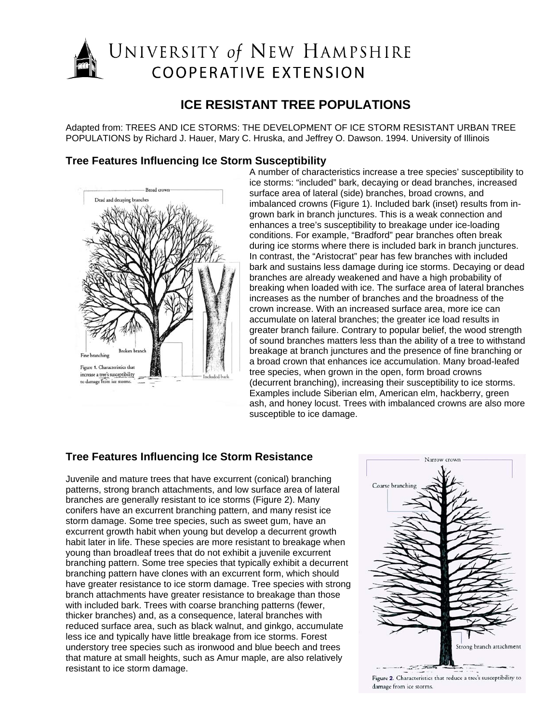# UNIVERSITY of NEW HAMPSHIRE **COOPERATIVE EXTENSION**

## **ICE RESISTANT TREE POPULATIONS**

Adapted from: TREES AND ICE STORMS: THE DEVELOPMENT OF ICE STORM RESISTANT URBAN TREE POPULATIONS by Richard J. Hauer, Mary C. Hruska, and Jeffrey O. Dawson. 1994. University of Illinois



**Tree Features Influencing Ice Storm Susceptibility**<br>A number of characteristics increase a tree species' susceptibility to ice storms: "included" bark, decaying or dead branches, increased surface area of lateral (side) branches, broad crowns, and imbalanced crowns (Figure 1). Included bark (inset) results from ingrown bark in branch junctures. This is a weak connection and enhances a tree's susceptibility to breakage under ice-loading conditions. For example, "Bradford" pear branches often break during ice storms where there is included bark in branch junctures. In contrast, the "Aristocrat" pear has few branches with included bark and sustains less damage during ice storms. Decaying or dead branches are already weakened and have a high probability of breaking when loaded with ice. The surface area of lateral branches increases as the number of branches and the broadness of the crown increase. With an increased surface area, more ice can accumulate on lateral branches; the greater ice load results in greater branch failure. Contrary to popular belief, the wood strength of sound branches matters less than the ability of a tree to withstand breakage at branch junctures and the presence of fine branching or a broad crown that enhances ice accumulation. Many broad-leafed tree species, when grown in the open, form broad crowns (decurrent branching), increasing their susceptibility to ice storms. Examples include Siberian elm, American elm, hackberry, green ash, and honey locust. Trees with imbalanced crowns are also more susceptible to ice damage.

### **Tree Features Influencing Ice Storm Resistance**

Juvenile and mature trees that have excurrent (conical) branching patterns, strong branch attachments, and low surface area of lateral branches are generally resistant to ice storms (Figure 2). Many conifers have an excurrent branching pattern, and many resist ice storm damage. Some tree species, such as sweet gum, have an excurrent growth habit when young but develop a decurrent growth habit later in life. These species are more resistant to breakage when young than broadleaf trees that do not exhibit a juvenile excurrent branching pattern. Some tree species that typically exhibit a decurrent branching pattern have clones with an excurrent form, which should have greater resistance to ice storm damage. Tree species with strong branch attachments have greater resistance to breakage than those with included bark. Trees with coarse branching patterns (fewer, thicker branches) and, as a consequence, lateral branches with reduced surface area, such as black walnut, and ginkgo, accumulate less ice and typically have little breakage from ice storms. Forest understory tree species such as ironwood and blue beech and trees that mature at small heights, such as Amur maple, are also relatively resistant to ice storm damage.



Figure 2. Characteristics that reduce a tree's susceptibility to damage from ice storms.